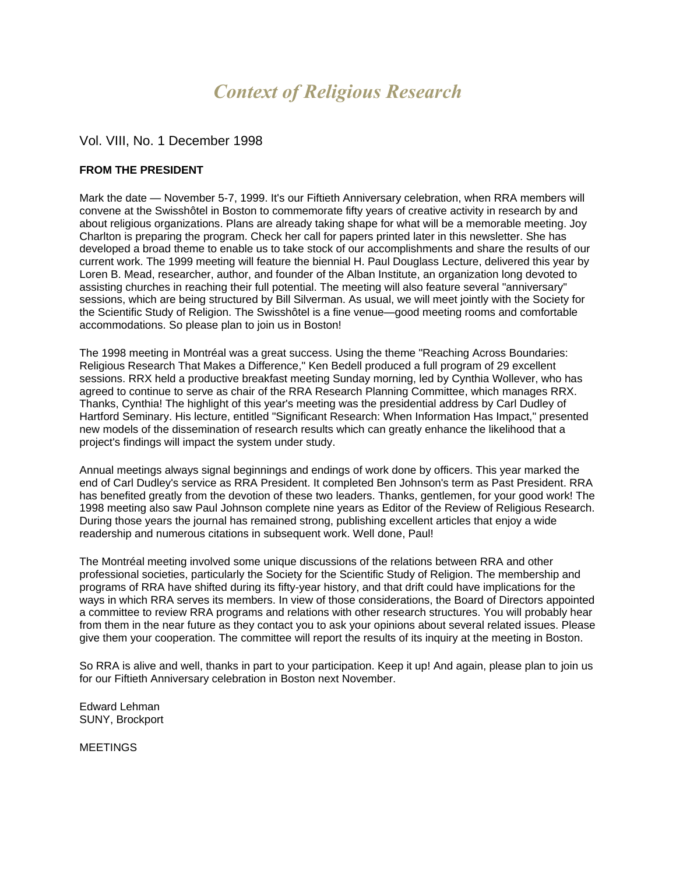# *Context of Religious Research*

## Vol. VIII, No. 1 December 1998

## **FROM THE PRESIDENT**

Mark the date — November 5-7, 1999. It's our Fiftieth Anniversary celebration, when RRA members will convene at the Swisshôtel in Boston to commemorate fifty years of creative activity in research by and about religious organizations. Plans are already taking shape for what will be a memorable meeting. Joy Charlton is preparing the program. Check her call for papers printed later in this newsletter. She has developed a broad theme to enable us to take stock of our accomplishments and share the results of our current work. The 1999 meeting will feature the biennial H. Paul Douglass Lecture, delivered this year by Loren B. Mead, researcher, author, and founder of the Alban Institute, an organization long devoted to assisting churches in reaching their full potential. The meeting will also feature several "anniversary" sessions, which are being structured by Bill Silverman. As usual, we will meet jointly with the Society for the Scientific Study of Religion. The Swisshôtel is a fine venue—good meeting rooms and comfortable accommodations. So please plan to join us in Boston!

The 1998 meeting in Montréal was a great success. Using the theme "Reaching Across Boundaries: Religious Research That Makes a Difference," Ken Bedell produced a full program of 29 excellent sessions. RRX held a productive breakfast meeting Sunday morning, led by Cynthia Wollever, who has agreed to continue to serve as chair of the RRA Research Planning Committee, which manages RRX. Thanks, Cynthia! The highlight of this year's meeting was the presidential address by Carl Dudley of Hartford Seminary. His lecture, entitled "Significant Research: When Information Has Impact," presented new models of the dissemination of research results which can greatly enhance the likelihood that a project's findings will impact the system under study.

Annual meetings always signal beginnings and endings of work done by officers. This year marked the end of Carl Dudley's service as RRA President. It completed Ben Johnson's term as Past President. RRA has benefited greatly from the devotion of these two leaders. Thanks, gentlemen, for your good work! The 1998 meeting also saw Paul Johnson complete nine years as Editor of the Review of Religious Research. During those years the journal has remained strong, publishing excellent articles that enjoy a wide readership and numerous citations in subsequent work. Well done, Paul!

The Montréal meeting involved some unique discussions of the relations between RRA and other professional societies, particularly the Society for the Scientific Study of Religion. The membership and programs of RRA have shifted during its fifty-year history, and that drift could have implications for the ways in which RRA serves its members. In view of those considerations, the Board of Directors appointed a committee to review RRA programs and relations with other research structures. You will probably hear from them in the near future as they contact you to ask your opinions about several related issues. Please give them your cooperation. The committee will report the results of its inquiry at the meeting in Boston.

So RRA is alive and well, thanks in part to your participation. Keep it up! And again, please plan to join us for our Fiftieth Anniversary celebration in Boston next November.

Edward Lehman SUNY, Brockport

**MEETINGS**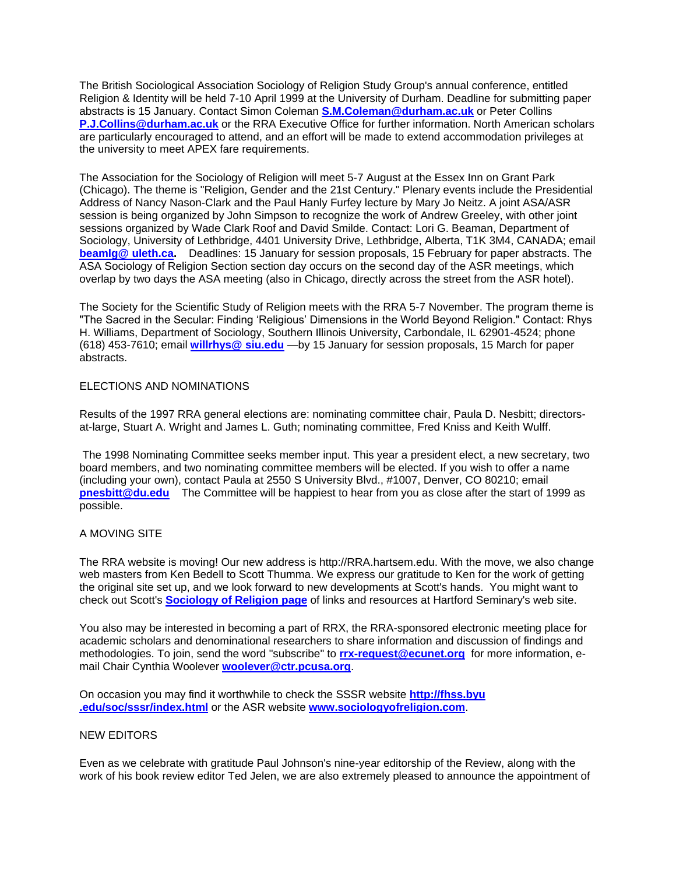The British Sociological Association Sociology of Religion Study Group's annual conference, entitled Religion & Identity will be held 7-10 April 1999 at the University of Durham. Deadline for submitting paper abstracts is 15 January. Contact Simon Coleman **[S.M.Coleman@durham.ac.uk](mailto:S.M.Coleman@durham.ac.uk)** or Peter Collins **[P.J.Collins@durham.ac.uk](mailto:P.J.Collins@durham.ac.uk)** or the RRA Executive Office for further information. North American scholars are particularly encouraged to attend, and an effort will be made to extend accommodation privileges at the university to meet APEX fare requirements.

The Association for the Sociology of Religion will meet 5-7 August at the Essex Inn on Grant Park (Chicago). The theme is "Religion, Gender and the 21st Century." Plenary events include the Presidential Address of Nancy Nason-Clark and the Paul Hanly Furfey lecture by Mary Jo Neitz. A joint ASA/ASR session is being organized by John Simpson to recognize the work of Andrew Greeley, with other joint sessions organized by Wade Clark Roof and David Smilde. Contact: Lori G. Beaman, Department of Sociology, University of Lethbridge, 4401 University Drive, Lethbridge, Alberta, T1K 3M4, CANADA; email **[beamlg@ uleth.ca.](mailto:beamlg@%20uleth.ca)** Deadlines: 15 January for session proposals, 15 February for paper abstracts. The ASA Sociology of Religion Section section day occurs on the second day of the ASR meetings, which overlap by two days the ASA meeting (also in Chicago, directly across the street from the ASR hotel).

The Society for the Scientific Study of Religion meets with the RRA 5-7 November. The program theme is "The Sacred in the Secular: Finding 'Religious' Dimensions in the World Beyond Religion." Contact: Rhys H. Williams, Department of Sociology, Southern Illinois University, Carbondale, IL 62901-4524; phone (618) 453-7610; email **[willrhys@](mailto:willrhys@%20siu.edu) siu.edu** —by 15 January for session proposals, 15 March for paper abstracts.

## ELECTIONS AND NOMINATIONS

Results of the 1997 RRA general elections are: nominating committee chair, Paula D. Nesbitt; directorsat-large, Stuart A. Wright and James L. Guth; nominating committee, Fred Kniss and Keith Wulff.

The 1998 Nominating Committee seeks member input. This year a president elect, a new secretary, two board members, and two nominating committee members will be elected. If you wish to offer a name (including your own), contact Paula at 2550 S University Blvd., #1007, Denver, CO 80210; email **[pnesbitt@du.edu](mailto:pnesbitt@du.edu)** The Committee will be happiest to hear from you as close after the start of 1999 as possible.

## A MOVING SITE

The RRA website is moving! Our new address is http://RRA.hartsem.edu. With the move, we also change web masters from Ken Bedell to Scott Thumma. We express our gratitude to Ken for the work of getting the original site set up, and we look forward to new developments at Scott's hands. You might want to check out Scott's **[Sociology of Religion page](http://hirr.hartsem.edu/sociology/sociology.html)** of links and resources at Hartford Seminary's web site.

You also may be interested in becoming a part of RRX, the RRA-sponsored electronic meeting place for academic scholars and denominational researchers to share information and discussion of findings and methodologies. To join, send the word "subscribe" to **[rrx-request@ecunet.org](mailto:rrx-request@ecunet.org)** for more information, email Chair Cynthia Woolever **[woolever@ctr.pcusa.org](mailto:woolever@ctr.pcusa.org)**.

On occasion you may find it worthwhile to check the SSSR website **http://fhss.byu .edu/soc/sssr/index.html** or the ASR website **[www.sociologyofreligion.com](http://www.sociologyofreligion.com/)**.

## NEW EDITORS

Even as we celebrate with gratitude Paul Johnson's nine-year editorship of the Review, along with the work of his book review editor Ted Jelen, we are also extremely pleased to announce the appointment of